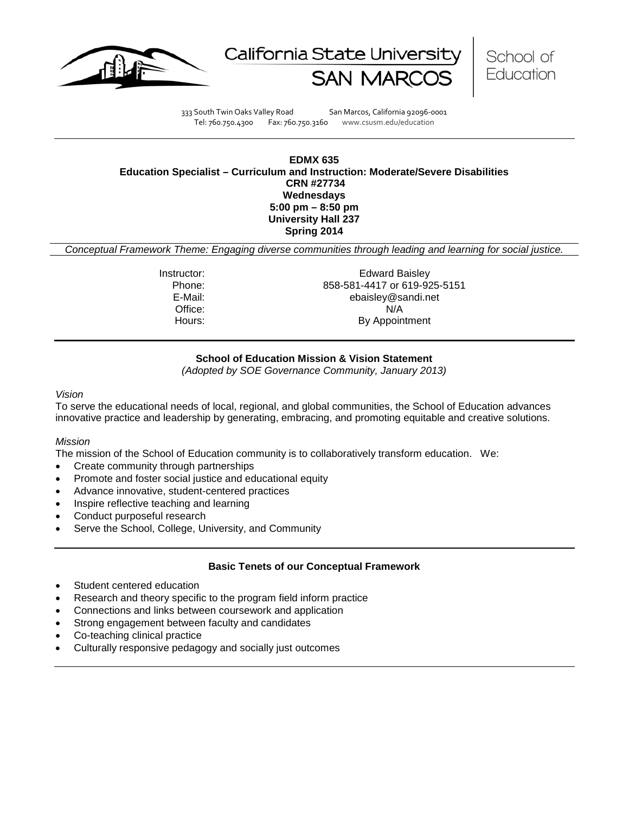





333 South Twin Oaks Valley Road San Marcos, California 92096-0001 Tel: 760.750.4300 Fax: 760.750.3160 www.csusm.edu/education

**EDMX 635 Education Specialist – Curriculum and Instruction: Moderate/Severe Disabilities CRN #27734 Wednesdays 5:00 pm – 8:50 pm University Hall 237 Spring 2014** 

*Conceptual Framework Theme: Engaging diverse communities through leading and learning for social justice.*

**Instructor:** Edward Baisley Phone: 858-581-4417 or 619-925-5151<br>E-Mail: ebaisley@sandi.net ebaisley@sandi.net Office: N/A Hours: By Appointment

# **School of Education Mission & Vision Statement**

*(Adopted by SOE Governance Community, January 2013)*

#### *Vision*

To serve the educational needs of local, regional, and global communities, the School of Education advances innovative practice and leadership by generating, embracing, and promoting equitable and creative solutions.

### *Mission*

The mission of the School of Education community is to collaboratively transform education. We:

- Create community through partnerships
- Promote and foster social justice and educational equity
- Advance innovative, student-centered practices
- Inspire reflective teaching and learning
- Conduct purposeful research
- Serve the School, College, University, and Community

# **Basic Tenets of our Conceptual Framework**

- Student centered education
- Research and theory specific to the program field inform practice
- Connections and links between coursework and application
- Strong engagement between faculty and candidates
- Co-teaching clinical practice
- Culturally responsive pedagogy and socially just outcomes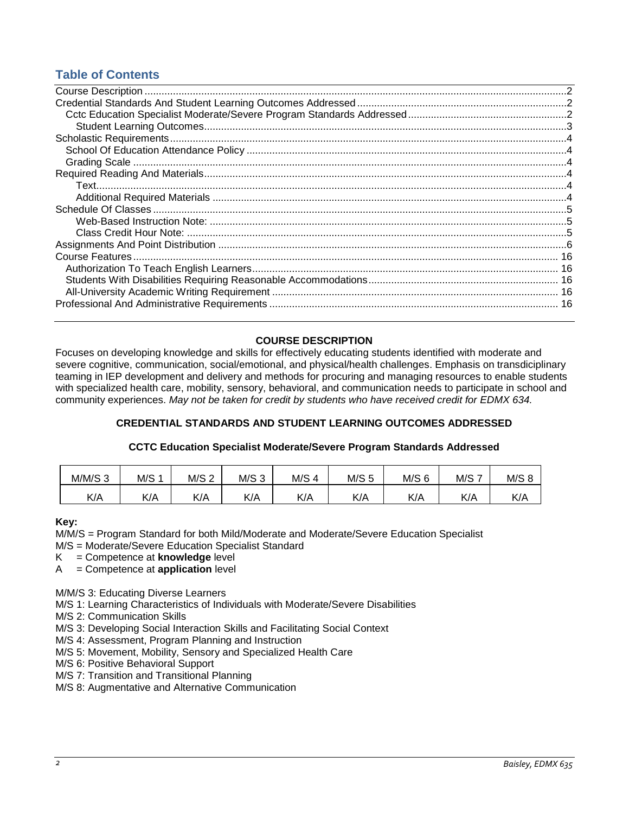# **Table of Contents**

# **COURSE DESCRIPTION**

<span id="page-1-0"></span>Focuses on developing knowledge and skills for effectively educating students identified with moderate and severe cognitive, communication, social/emotional, and physical/health challenges. Emphasis on transdiciplinary teaming in IEP development and delivery and methods for procuring and managing resources to enable students with specialized health care, mobility, sensory, behavioral, and communication needs to participate in school and community experiences. *May not be taken for credit by students who have received credit for EDMX 634.*

# **CREDENTIAL STANDARDS AND STUDENT LEARNING OUTCOMES ADDRESSED**

# **CCTC Education Specialist Moderate/Severe Program Standards Addressed**

<span id="page-1-2"></span><span id="page-1-1"></span>

| $M/M/S$ 3 | M/S 1 | M/S 2 | M/S <sub>3</sub> | M/S <sub>4</sub> | M/S <sub>5</sub> | $M/S$ 6 | <b>M/S7</b> | M/S 8 |
|-----------|-------|-------|------------------|------------------|------------------|---------|-------------|-------|
| K/A       | K/A   | K/A   | K/A              | K/A              | K/A              | K/A     | K/A         | K/A   |

### **Key:**

M/M/S = Program Standard for both Mild/Moderate and Moderate/Severe Education Specialist

M/S = Moderate/Severe Education Specialist Standard

K = Competence at **knowledge** level

A = Competence at **application** level

M/M/S 3: Educating Diverse Learners

M/S 1: Learning Characteristics of Individuals with Moderate/Severe Disabilities

M/S 2: Communication Skills

M/S 3: Developing Social Interaction Skills and Facilitating Social Context

- M/S 4: Assessment, Program Planning and Instruction
- M/S 5: Movement, Mobility, Sensory and Specialized Health Care
- M/S 6: Positive Behavioral Support
- M/S 7: Transition and Transitional Planning
- <span id="page-1-3"></span>M/S 8: Augmentative and Alternative Communication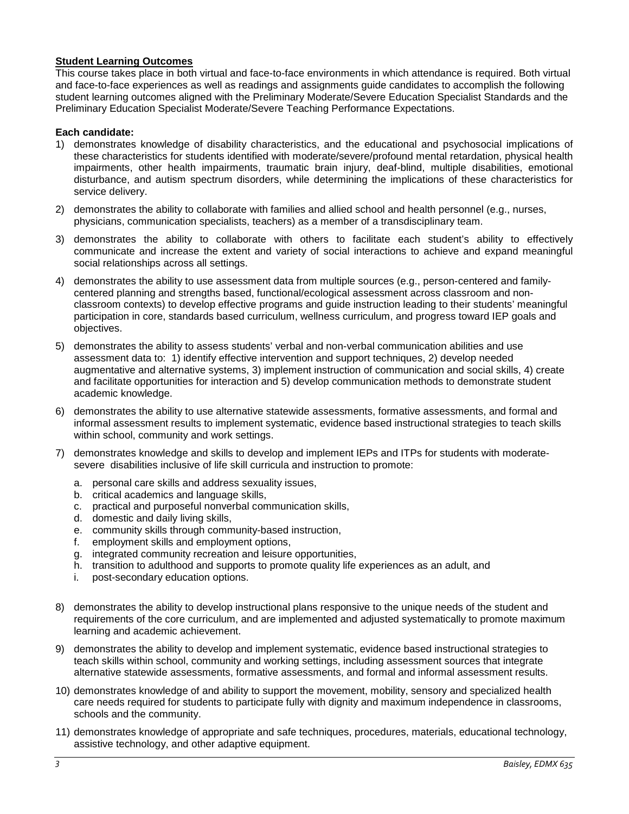# **Student Learning Outcomes**

This course takes place in both virtual and face-to-face environments in which attendance is required. Both virtual and face-to-face experiences as well as readings and assignments guide candidates to accomplish the following student learning outcomes aligned with the Preliminary Moderate/Severe Education Specialist Standards and the Preliminary Education Specialist Moderate/Severe Teaching Performance Expectations.

# **Each candidate:**

- 1) demonstrates knowledge of disability characteristics, and the educational and psychosocial implications of these characteristics for students identified with moderate/severe/profound mental retardation, physical health impairments, other health impairments, traumatic brain injury, deaf-blind, multiple disabilities, emotional disturbance, and autism spectrum disorders, while determining the implications of these characteristics for service delivery.
- 2) demonstrates the ability to collaborate with families and allied school and health personnel (e.g., nurses, physicians, communication specialists, teachers) as a member of a transdisciplinary team.
- 3) demonstrates the ability to collaborate with others to facilitate each student's ability to effectively communicate and increase the extent and variety of social interactions to achieve and expand meaningful social relationships across all settings.
- 4) demonstrates the ability to use assessment data from multiple sources (e.g., person-centered and familycentered planning and strengths based, functional/ecological assessment across classroom and nonclassroom contexts) to develop effective programs and guide instruction leading to their students' meaningful participation in core, standards based curriculum, wellness curriculum, and progress toward IEP goals and objectives.
- 5) demonstrates the ability to assess students' verbal and non-verbal communication abilities and use assessment data to: 1) identify effective intervention and support techniques, 2) develop needed augmentative and alternative systems, 3) implement instruction of communication and social skills, 4) create and facilitate opportunities for interaction and 5) develop communication methods to demonstrate student academic knowledge.
- 6) demonstrates the ability to use alternative statewide assessments, formative assessments, and formal and informal assessment results to implement systematic, evidence based instructional strategies to teach skills within school, community and work settings.
- 7) demonstrates knowledge and skills to develop and implement IEPs and ITPs for students with moderatesevere disabilities inclusive of life skill curricula and instruction to promote:
	- a. personal care skills and address sexuality issues,
	- b. critical academics and language skills,
	- c. practical and purposeful nonverbal communication skills,
	- d. domestic and daily living skills,
	- e. community skills through community-based instruction,
	- f. employment skills and employment options,
	- g. integrated community recreation and leisure opportunities,
	- h. transition to adulthood and supports to promote quality life experiences as an adult, and
	- i. post-secondary education options.
- 8) demonstrates the ability to develop instructional plans responsive to the unique needs of the student and requirements of the core curriculum, and are implemented and adjusted systematically to promote maximum learning and academic achievement.
- 9) demonstrates the ability to develop and implement systematic, evidence based instructional strategies to teach skills within school, community and working settings, including assessment sources that integrate alternative statewide assessments, formative assessments, and formal and informal assessment results.
- 10) demonstrates knowledge of and ability to support the movement, mobility, sensory and specialized health care needs required for students to participate fully with dignity and maximum independence in classrooms, schools and the community.
- 11) demonstrates knowledge of appropriate and safe techniques, procedures, materials, educational technology, assistive technology, and other adaptive equipment.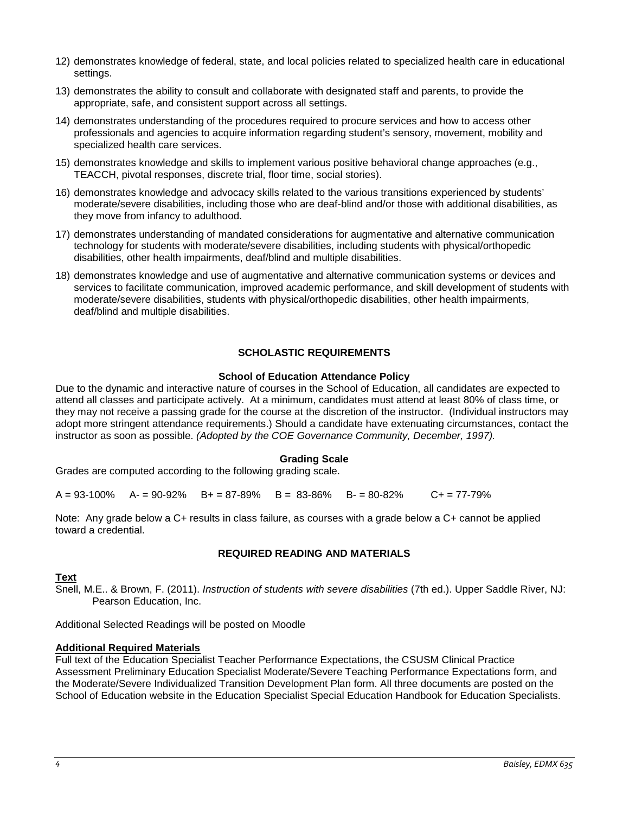- 12) demonstrates knowledge of federal, state, and local policies related to specialized health care in educational settings.
- 13) demonstrates the ability to consult and collaborate with designated staff and parents, to provide the appropriate, safe, and consistent support across all settings.
- 14) demonstrates understanding of the procedures required to procure services and how to access other professionals and agencies to acquire information regarding student's sensory, movement, mobility and specialized health care services.
- 15) demonstrates knowledge and skills to implement various positive behavioral change approaches (e.g., TEACCH, pivotal responses, discrete trial, floor time, social stories).
- 16) demonstrates knowledge and advocacy skills related to the various transitions experienced by students' moderate/severe disabilities, including those who are deaf-blind and/or those with additional disabilities, as they move from infancy to adulthood.
- 17) demonstrates understanding of mandated considerations for augmentative and alternative communication technology for students with moderate/severe disabilities, including students with physical/orthopedic disabilities, other health impairments, deaf/blind and multiple disabilities.
- 18) demonstrates knowledge and use of augmentative and alternative communication systems or devices and services to facilitate communication, improved academic performance, and skill development of students with moderate/severe disabilities, students with physical/orthopedic disabilities, other health impairments, deaf/blind and multiple disabilities.

# **SCHOLASTIC REQUIREMENTS**

### **School of Education Attendance Policy**

<span id="page-3-1"></span><span id="page-3-0"></span>Due to the dynamic and interactive nature of courses in the School of Education, all candidates are expected to attend all classes and participate actively. At a minimum, candidates must attend at least 80% of class time, or they may not receive a passing grade for the course at the discretion of the instructor. (Individual instructors may adopt more stringent attendance requirements.) Should a candidate have extenuating circumstances, contact the instructor as soon as possible. *(Adopted by the COE Governance Community, December, 1997).*

### **Grading Scale**

<span id="page-3-2"></span>Grades are computed according to the following grading scale.

 $A = 93-100\%$   $A = 90-92\%$   $B = 87-89\%$   $B = 83-86\%$   $B = 80-82\%$   $C = 77-79\%$ 

Note: Any grade below a C+ results in class failure, as courses with a grade below a C+ cannot be applied toward a credential.

### **REQUIRED READING AND MATERIALS**

### <span id="page-3-4"></span><span id="page-3-3"></span>**Text**

Snell, M.E.. & Brown, F. (2011). *Instruction of students with severe disabilities* (7th ed.). Upper Saddle River, NJ: Pearson Education, Inc.

Additional Selected Readings will be posted on Moodle

### <span id="page-3-5"></span>**Additional Required Materials**

Full text of the Education Specialist Teacher Performance Expectations, the CSUSM Clinical Practice Assessment Preliminary Education Specialist Moderate/Severe Teaching Performance Expectations form, and the Moderate/Severe Individualized Transition Development Plan form. All three documents are posted on the School of Education website in the Education Specialist Special Education Handbook for Education Specialists.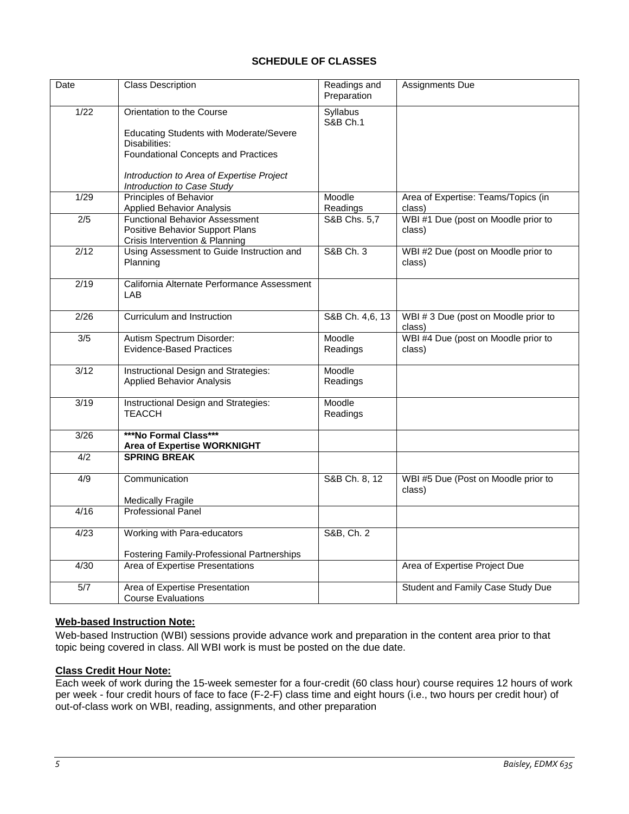# **SCHEDULE OF CLASSES**

<span id="page-4-0"></span>

| Date          | <b>Class Description</b>                                          | Readings and<br>Preparation            | Assignments Due                               |
|---------------|-------------------------------------------------------------------|----------------------------------------|-----------------------------------------------|
| 1/22          | Orientation to the Course                                         | <b>Syllabus</b><br><b>S&amp;B Ch.1</b> |                                               |
|               | <b>Educating Students with Moderate/Severe</b>                    |                                        |                                               |
|               | Disabilities:<br><b>Foundational Concepts and Practices</b>       |                                        |                                               |
|               |                                                                   |                                        |                                               |
|               | Introduction to Area of Expertise Project                         |                                        |                                               |
|               | Introduction to Case Study                                        |                                        |                                               |
| 1/29          | <b>Principles of Behavior</b><br><b>Applied Behavior Analysis</b> | Moodle<br>Readings                     | Area of Expertise: Teams/Topics (in<br>class) |
| 2/5           | <b>Functional Behavior Assessment</b>                             | S&B Chs. 5,7                           | WBI #1 Due (post on Moodle prior to           |
|               | Positive Behavior Support Plans                                   |                                        | class)                                        |
|               | Crisis Intervention & Planning                                    |                                        |                                               |
| $\sqrt{2/12}$ | Using Assessment to Guide Instruction and<br>Planning             | S&B Ch. 3                              | WBI #2 Due (post on Moodle prior to<br>class) |
|               |                                                                   |                                        |                                               |
| 2/19          | California Alternate Performance Assessment<br>LAB                |                                        |                                               |
|               |                                                                   |                                        |                                               |
| 2/26          | Curriculum and Instruction                                        | S&B Ch. 4,6, 13                        | WBI #3 Due (post on Moodle prior to           |
|               |                                                                   |                                        | class)                                        |
| 3/5           | Autism Spectrum Disorder:<br><b>Evidence-Based Practices</b>      | Moodle<br>Readings                     | WBI #4 Due (post on Moodle prior to<br>class) |
|               |                                                                   |                                        |                                               |
| 3/12          | Instructional Design and Strategies:                              | Moodle                                 |                                               |
|               | <b>Applied Behavior Analysis</b>                                  | Readings                               |                                               |
| 3/19          | Instructional Design and Strategies:                              | Moodle                                 |                                               |
|               | <b>TEACCH</b>                                                     | Readings                               |                                               |
| 3/26          | ***No Formal Class***                                             |                                        |                                               |
|               | <b>Area of Expertise WORKNIGHT</b>                                |                                        |                                               |
| 4/2           | <b>SPRING BREAK</b>                                               |                                        |                                               |
| 4/9           | Communication                                                     | S&B Ch. 8, 12                          | WBI #5 Due (Post on Moodle prior to           |
|               |                                                                   |                                        | class)                                        |
|               | Medically Fragile                                                 |                                        |                                               |
| 4/16          | <b>Professional Panel</b>                                         |                                        |                                               |
| 4/23          | Working with Para-educators                                       | S&B, Ch. 2                             |                                               |
|               |                                                                   |                                        |                                               |
|               | <b>Fostering Family-Professional Partnerships</b>                 |                                        |                                               |
| 4/30          | Area of Expertise Presentations                                   |                                        | Area of Expertise Project Due                 |
| 5/7           | Area of Expertise Presentation                                    |                                        | Student and Family Case Study Due             |
|               | <b>Course Evaluations</b>                                         |                                        |                                               |

# <span id="page-4-1"></span>**Web-based Instruction Note:**

Web-based Instruction (WBI) sessions provide advance work and preparation in the content area prior to that topic being covered in class. All WBI work is must be posted on the due date.

# <span id="page-4-2"></span>**Class Credit Hour Note:**

Each week of work during the 15-week semester for a four-credit (60 class hour) course requires 12 hours of work per week - four credit hours of face to face (F-2-F) class time and eight hours (i.e., two hours per credit hour) of out-of-class work on WBI, reading, assignments, and other preparation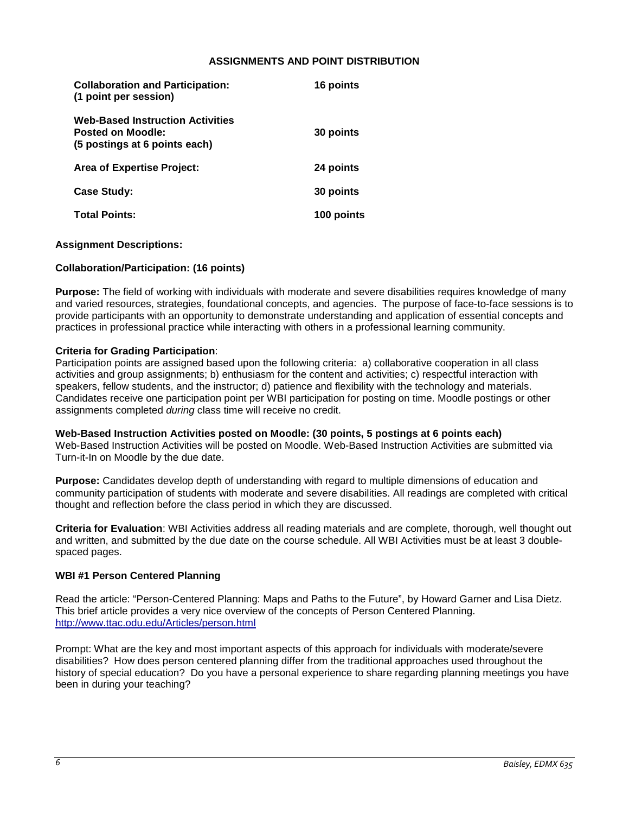### **ASSIGNMENTS AND POINT DISTRIBUTION**

<span id="page-5-0"></span>

| <b>Collaboration and Participation:</b><br>(1 point per session)                              | 16 points  |
|-----------------------------------------------------------------------------------------------|------------|
| <b>Web-Based Instruction Activities</b><br>Posted on Moodle:<br>(5 postings at 6 points each) | 30 points  |
| <b>Area of Expertise Project:</b>                                                             | 24 points  |
| <b>Case Study:</b>                                                                            | 30 points  |
| <b>Total Points:</b>                                                                          | 100 points |

### **Assignment Descriptions:**

### **Collaboration/Participation: (16 points)**

**Purpose:** The field of working with individuals with moderate and severe disabilities requires knowledge of many and varied resources, strategies, foundational concepts, and agencies. The purpose of face-to-face sessions is to provide participants with an opportunity to demonstrate understanding and application of essential concepts and practices in professional practice while interacting with others in a professional learning community.

#### **Criteria for Grading Participation**:

Participation points are assigned based upon the following criteria: a) collaborative cooperation in all class activities and group assignments; b) enthusiasm for the content and activities; c) respectful interaction with speakers, fellow students, and the instructor; d) patience and flexibility with the technology and materials. Candidates receive one participation point per WBI participation for posting on time. Moodle postings or other assignments completed *during* class time will receive no credit.

### **Web-Based Instruction Activities posted on Moodle: (30 points, 5 postings at 6 points each)**

Web-Based Instruction Activities will be posted on Moodle. Web-Based Instruction Activities are submitted via Turn-it-In on Moodle by the due date.

**Purpose:** Candidates develop depth of understanding with regard to multiple dimensions of education and community participation of students with moderate and severe disabilities. All readings are completed with critical thought and reflection before the class period in which they are discussed.

**Criteria for Evaluation**: WBI Activities address all reading materials and are complete, thorough, well thought out and written, and submitted by the due date on the course schedule. All WBI Activities must be at least 3 doublespaced pages.

#### **WBI #1 Person Centered Planning**

Read the article: "Person-Centered Planning: Maps and Paths to the Future", by Howard Garner and Lisa Dietz. This brief article provides a very nice overview of the concepts of Person Centered Planning. <http://www.ttac.odu.edu/Articles/person.html>

Prompt: What are the key and most important aspects of this approach for individuals with moderate/severe disabilities? How does person centered planning differ from the traditional approaches used throughout the history of special education? Do you have a personal experience to share regarding planning meetings you have been in during your teaching?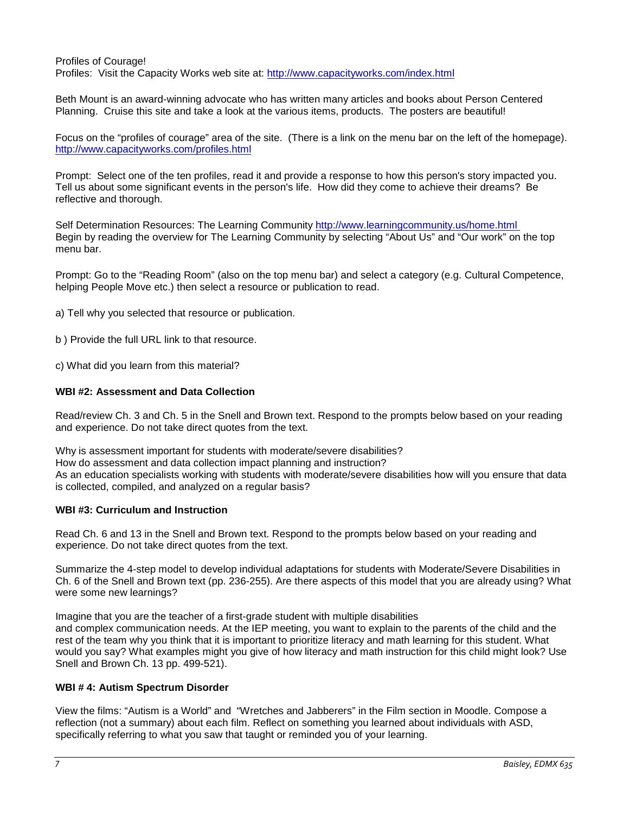Profiles of Courage! Profiles: Visit the Capacity Works web site at:<http://www.capacityworks.com/index.html>

Beth Mount is an award-winning advocate who has written many articles and books about Person Centered Planning. Cruise this site and take a look at the various items, products. The posters are beautiful!

Focus on the "profiles of courage" area of the site. (There is a link on the menu bar on the left of the homepage). <http://www.capacityworks.com/profiles.html>

Prompt: Select one of the ten profiles, read it and provide a response to how this person's story impacted you. Tell us about some significant events in the person's life. How did they come to achieve their dreams? Be reflective and thorough.

Self Determination Resources: The Learning Community<http://www.learningcommunity.us/home.html> Begin by reading the overview for The Learning Community by selecting "About Us" and "Our work" on the top menu bar.

Prompt: Go to the "Reading Room" (also on the top menu bar) and select a category (e.g. Cultural Competence, helping People Move etc.) then select a resource or publication to read.

a) Tell why you selected that resource or publication.

b ) Provide the full URL link to that resource.

c) What did you learn from this material?

# **WBI #2: Assessment and Data Collection**

Read/review Ch. 3 and Ch. 5 in the Snell and Brown text. Respond to the prompts below based on your reading and experience. Do not take direct quotes from the text.

Why is assessment important for students with moderate/severe disabilities? How do assessment and data collection impact planning and instruction? As an education specialists working with students with moderate/severe disabilities how will you ensure that data is collected, compiled, and analyzed on a regular basis?

### **WBI #3: Curriculum and Instruction**

Read Ch. 6 and 13 in the Snell and Brown text. Respond to the prompts below based on your reading and experience. Do not take direct quotes from the text.

Summarize the 4-step model to develop individual adaptations for students with Moderate/Severe Disabilities in Ch. 6 of the Snell and Brown text (pp. 236-255). Are there aspects of this model that you are already using? What were some new learnings?

Imagine that you are the teacher of a first-grade student with multiple disabilities and complex communication needs. At the IEP meeting, you want to explain to the parents of the child and the rest of the team why you think that it is important to prioritize literacy and math learning for this student. What would you say? What examples might you give of how literacy and math instruction for this child might look? Use Snell and Brown Ch. 13 pp. 499-521).

### **WBI # 4: Autism Spectrum Disorder**

View the films: "Autism is a World" and "Wretches and Jabberers" in the Film section in Moodle. Compose a reflection (not a summary) about each film. Reflect on something you learned about individuals with ASD, specifically referring to what you saw that taught or reminded you of your learning.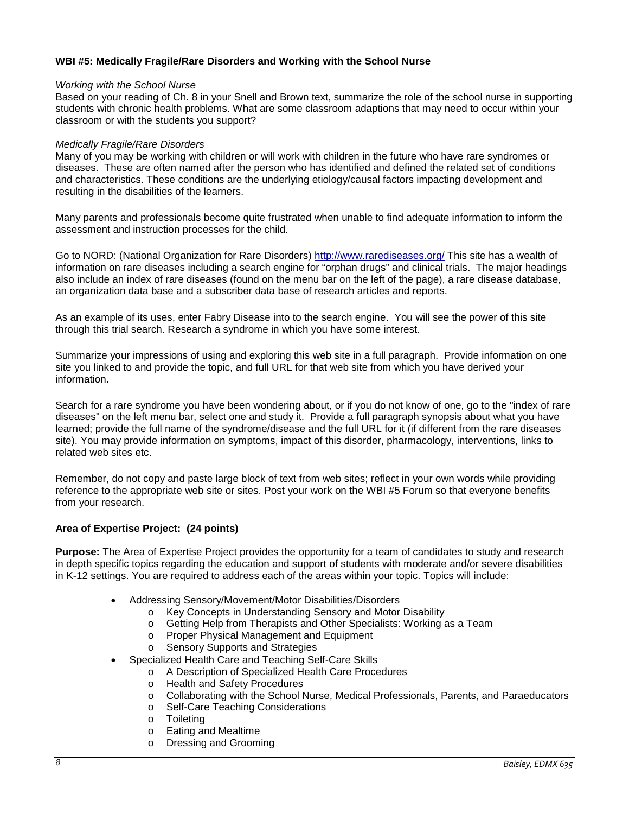# **WBI #5: Medically Fragile/Rare Disorders and Working with the School Nurse**

#### *Working with the School Nurse*

Based on your reading of Ch. 8 in your Snell and Brown text, summarize the role of the school nurse in supporting students with chronic health problems. What are some classroom adaptions that may need to occur within your classroom or with the students you support?

#### *Medically Fragile/Rare Disorders*

Many of you may be working with children or will work with children in the future who have rare syndromes or diseases. These are often named after the person who has identified and defined the related set of conditions and characteristics. These conditions are the underlying etiology/causal factors impacting development and resulting in the disabilities of the learners.

Many parents and professionals become quite frustrated when unable to find adequate information to inform the assessment and instruction processes for the child.

Go to NORD: (National Organization for Rare Disorders)<http://www.rarediseases.org/> This site has a wealth of information on rare diseases including a search engine for "orphan drugs" and clinical trials. The major headings also include an index of rare diseases (found on the menu bar on the left of the page), a rare disease database, an organization data base and a subscriber data base of research articles and reports.

As an example of its uses, enter Fabry Disease into to the search engine. You will see the power of this site through this trial search. Research a syndrome in which you have some interest.

Summarize your impressions of using and exploring this web site in a full paragraph. Provide information on one site you linked to and provide the topic, and full URL for that web site from which you have derived your information.

Search for a rare syndrome you have been wondering about, or if you do not know of one, go to the "index of rare diseases" on the left menu bar, select one and study it. Provide a full paragraph synopsis about what you have learned; provide the full name of the syndrome/disease and the full URL for it (if different from the rare diseases site). You may provide information on symptoms, impact of this disorder, pharmacology, interventions, links to related web sites etc.

Remember, do not copy and paste large block of text from web sites; reflect in your own words while providing reference to the appropriate web site or sites. Post your work on the WBI #5 Forum so that everyone benefits from your research.

### **Area of Expertise Project: (24 points)**

**Purpose:** The Area of Expertise Project provides the opportunity for a team of candidates to study and research in depth specific topics regarding the education and support of students with moderate and/or severe disabilities in K-12 settings. You are required to address each of the areas within your topic. Topics will include:

- Addressing Sensory/Movement/Motor Disabilities/Disorders
	- o Key Concepts in Understanding Sensory and Motor Disability
	- o Getting Help from Therapists and Other Specialists: Working as a Team
	- o Proper Physical Management and Equipment<br>
	o Sensory Supports and Strategies
	- Sensory Supports and Strategies
- Specialized Health Care and Teaching Self-Care Skills
	- o A Description of Specialized Health Care Procedures
		- o Health and Safety Procedures
		- o Collaborating with the School Nurse, Medical Professionals, Parents, and Paraeducators
		- o Self-Care Teaching Considerations
		- o Toileting
		- o Eating and Mealtime<br>
		o Dressing and Groom
		- Dressing and Grooming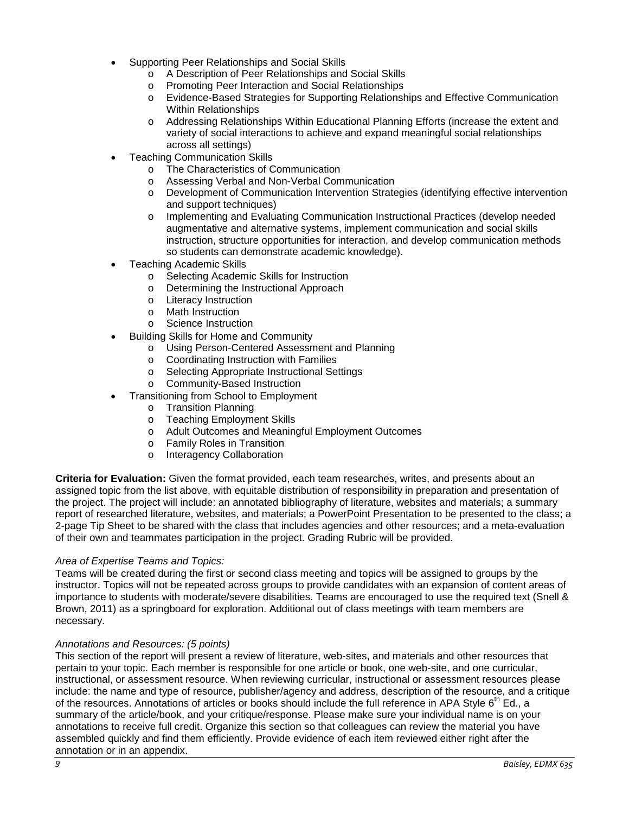- Supporting Peer Relationships and Social Skills
	- o A Description of Peer Relationships and Social Skills
	- o Promoting Peer Interaction and Social Relationships
	- o Evidence-Based Strategies for Supporting Relationships and Effective Communication Within Relationships
	- o Addressing Relationships Within Educational Planning Efforts (increase the extent and variety of social interactions to achieve and expand meaningful social relationships across all settings)
- Teaching Communication Skills
	- o The Characteristics of Communication
	- o Assessing Verbal and Non-Verbal Communication
	- o Development of Communication Intervention Strategies (identifying effective intervention and support techniques)
	- o Implementing and Evaluating Communication Instructional Practices (develop needed augmentative and alternative systems, implement communication and social skills instruction, structure opportunities for interaction, and develop communication methods so students can demonstrate academic knowledge).
- Teaching Academic Skills
	- o Selecting Academic Skills for Instruction<br> **O** Determining the Instructional Approach
	- Determining the Instructional Approach
	- o Literacy Instruction
	- o Math Instruction
	- o Science Instruction
- Building Skills for Home and Community
	- o Using Person-Centered Assessment and Planning
	- o Coordinating Instruction with Families<br>
	o Selecting Appropriate Instructional Se
	- Selecting Appropriate Instructional Settings
	- o Community-Based Instruction
- Transitioning from School to Employment
	- o Transition Planning
	- o Teaching Employment Skills
	- o Adult Outcomes and Meaningful Employment Outcomes
	- o Family Roles in Transition
	- o Interagency Collaboration

**Criteria for Evaluation:** Given the format provided, each team researches, writes, and presents about an assigned topic from the list above, with equitable distribution of responsibility in preparation and presentation of the project. The project will include: an annotated bibliography of literature, websites and materials; a summary report of researched literature, websites, and materials; a PowerPoint Presentation to be presented to the class; a 2-page Tip Sheet to be shared with the class that includes agencies and other resources; and a meta-evaluation of their own and teammates participation in the project. Grading Rubric will be provided.

### *Area of Expertise Teams and Topics:*

Teams will be created during the first or second class meeting and topics will be assigned to groups by the instructor. Topics will not be repeated across groups to provide candidates with an expansion of content areas of importance to students with moderate/severe disabilities. Teams are encouraged to use the required text (Snell & Brown, 2011) as a springboard for exploration. Additional out of class meetings with team members are necessary.

# *Annotations and Resources: (5 points)*

This section of the report will present a review of literature, web-sites, and materials and other resources that pertain to your topic. Each member is responsible for one article or book, one web-site, and one curricular, instructional, or assessment resource. When reviewing curricular, instructional or assessment resources please include: the name and type of resource, publisher/agency and address, description of the resource, and a critique of the resources. Annotations of articles or books should include the full reference in APA Style  $6<sup>th</sup>$  Ed., a summary of the article/book, and your critique/response. Please make sure your individual name is on your annotations to receive full credit. Organize this section so that colleagues can review the material you have assembled quickly and find them efficiently. Provide evidence of each item reviewed either right after the annotation or in an appendix.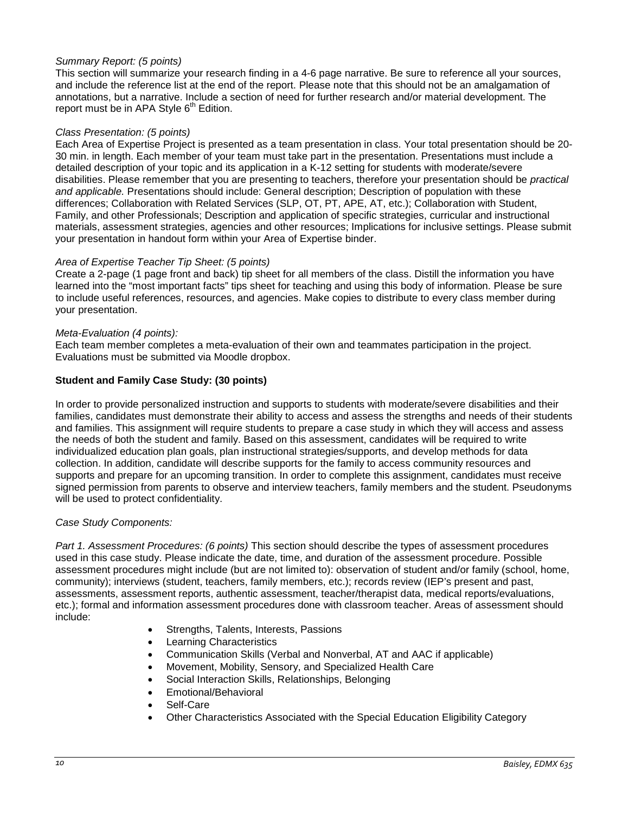# *Summary Report: (5 points)*

This section will summarize your research finding in a 4-6 page narrative. Be sure to reference all your sources, and include the reference list at the end of the report. Please note that this should not be an amalgamation of annotations, but a narrative. Include a section of need for further research and/or material development. The report must be in APA Style  $6<sup>th</sup>$  Edition.

### *Class Presentation: (5 points)*

Each Area of Expertise Project is presented as a team presentation in class. Your total presentation should be 20- 30 min. in length. Each member of your team must take part in the presentation. Presentations must include a detailed description of your topic and its application in a K-12 setting for students with moderate/severe disabilities. Please remember that you are presenting to teachers, therefore your presentation should be *practical and applicable.* Presentations should include: General description; Description of population with these differences; Collaboration with Related Services (SLP, OT, PT, APE, AT, etc.); Collaboration with Student, Family, and other Professionals; Description and application of specific strategies, curricular and instructional materials, assessment strategies, agencies and other resources; Implications for inclusive settings. Please submit your presentation in handout form within your Area of Expertise binder.

# *Area of Expertise Teacher Tip Sheet: (5 points)*

Create a 2-page (1 page front and back) tip sheet for all members of the class. Distill the information you have learned into the "most important facts" tips sheet for teaching and using this body of information. Please be sure to include useful references, resources, and agencies. Make copies to distribute to every class member during your presentation.

### *Meta-Evaluation (4 points):*

Each team member completes a meta-evaluation of their own and teammates participation in the project. Evaluations must be submitted via Moodle dropbox.

# **Student and Family Case Study: (30 points)**

In order to provide personalized instruction and supports to students with moderate/severe disabilities and their families, candidates must demonstrate their ability to access and assess the strengths and needs of their students and families. This assignment will require students to prepare a case study in which they will access and assess the needs of both the student and family. Based on this assessment, candidates will be required to write individualized education plan goals, plan instructional strategies/supports, and develop methods for data collection. In addition, candidate will describe supports for the family to access community resources and supports and prepare for an upcoming transition. In order to complete this assignment, candidates must receive signed permission from parents to observe and interview teachers, family members and the student. Pseudonyms will be used to protect confidentiality.

### *Case Study Components:*

*Part 1. Assessment Procedures: (6 points)* This section should describe the types of assessment procedures used in this case study. Please indicate the date, time, and duration of the assessment procedure. Possible assessment procedures might include (but are not limited to): observation of student and/or family (school, home, community); interviews (student, teachers, family members, etc.); records review (IEP's present and past, assessments, assessment reports, authentic assessment, teacher/therapist data, medical reports/evaluations, etc.); formal and information assessment procedures done with classroom teacher. Areas of assessment should include:

- Strengths, Talents, Interests, Passions
- **Learning Characteristics**
- Communication Skills (Verbal and Nonverbal, AT and AAC if applicable)
- Movement, Mobility, Sensory, and Specialized Health Care
- Social Interaction Skills, Relationships, Belonging
- Emotional/Behavioral
- Self-Care
- Other Characteristics Associated with the Special Education Eligibility Category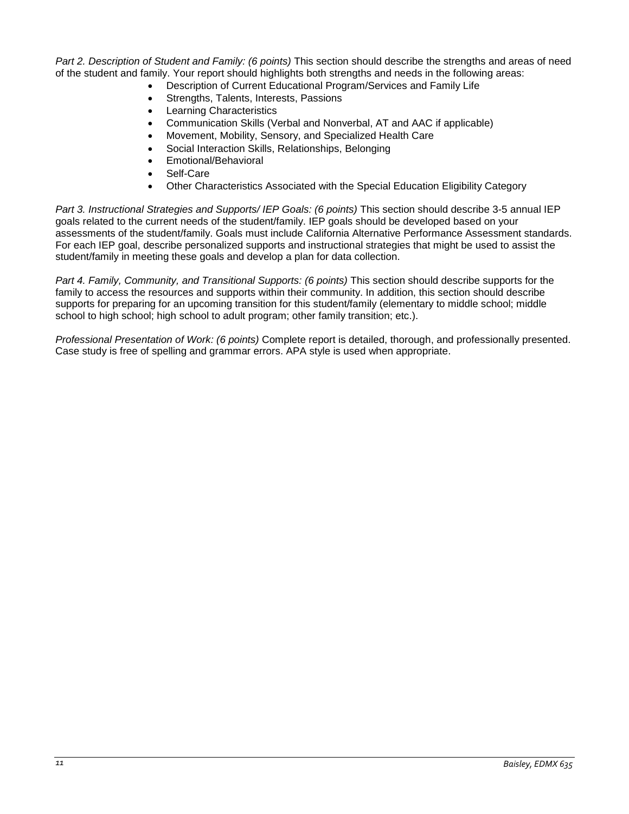*Part 2. Description of Student and Family: (6 points)* This section should describe the strengths and areas of need of the student and family. Your report should highlights both strengths and needs in the following areas:

- Description of Current Educational Program/Services and Family Life
- Strengths, Talents, Interests, Passions
- **Learning Characteristics**
- Communication Skills (Verbal and Nonverbal, AT and AAC if applicable)
- Movement, Mobility, Sensory, and Specialized Health Care
- Social Interaction Skills, Relationships, Belonging
- Emotional/Behavioral
- Self-Care
- Other Characteristics Associated with the Special Education Eligibility Category

*Part 3. Instructional Strategies and Supports/ IEP Goals: (6 points)* This section should describe 3-5 annual IEP goals related to the current needs of the student/family. IEP goals should be developed based on your assessments of the student/family. Goals must include California Alternative Performance Assessment standards. For each IEP goal, describe personalized supports and instructional strategies that might be used to assist the student/family in meeting these goals and develop a plan for data collection.

*Part 4. Family, Community, and Transitional Supports: (6 points)* This section should describe supports for the family to access the resources and supports within their community. In addition, this section should describe supports for preparing for an upcoming transition for this student/family (elementary to middle school; middle school to high school; high school to adult program; other family transition; etc.).

*Professional Presentation of Work: (6 points)* Complete report is detailed, thorough, and professionally presented. Case study is free of spelling and grammar errors. APA style is used when appropriate.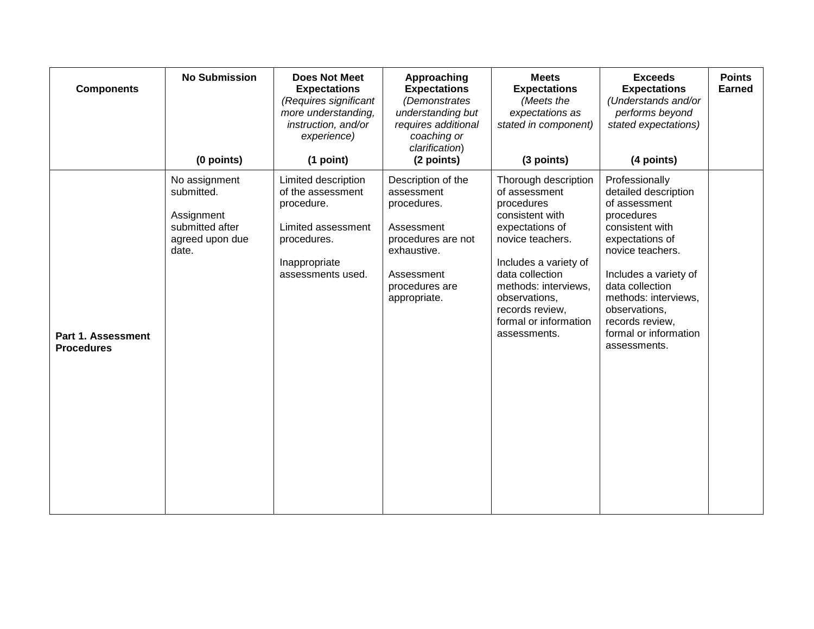| <b>Components</b>                       | <b>No Submission</b><br>(0 points)                                                       | <b>Does Not Meet</b><br><b>Expectations</b><br>(Requires significant<br>more understanding,<br>instruction, and/or<br>experience)<br>(1 point) | Approaching<br><b>Expectations</b><br>(Demonstrates<br>understanding but<br>requires additional<br>coaching or<br>clarification)<br>(2 points)     | <b>Meets</b><br><b>Expectations</b><br>(Meets the<br>expectations as<br>stated in component)<br>(3 points)                                                                                                                                                     | <b>Exceeds</b><br><b>Expectations</b><br>(Understands and/or<br>performs beyond<br>stated expectations)<br>(4 points)                                                                                                                                                            | <b>Points</b><br><b>Earned</b> |
|-----------------------------------------|------------------------------------------------------------------------------------------|------------------------------------------------------------------------------------------------------------------------------------------------|----------------------------------------------------------------------------------------------------------------------------------------------------|----------------------------------------------------------------------------------------------------------------------------------------------------------------------------------------------------------------------------------------------------------------|----------------------------------------------------------------------------------------------------------------------------------------------------------------------------------------------------------------------------------------------------------------------------------|--------------------------------|
| Part 1. Assessment<br><b>Procedures</b> | No assignment<br>submitted.<br>Assignment<br>submitted after<br>agreed upon due<br>date. | Limited description<br>of the assessment<br>procedure.<br>Limited assessment<br>procedures.<br>Inappropriate<br>assessments used.              | Description of the<br>assessment<br>procedures.<br>Assessment<br>procedures are not<br>exhaustive.<br>Assessment<br>procedures are<br>appropriate. | Thorough description<br>of assessment<br>procedures<br>consistent with<br>expectations of<br>novice teachers.<br>Includes a variety of<br>data collection<br>methods: interviews,<br>observations,<br>records review,<br>formal or information<br>assessments. | Professionally<br>detailed description<br>of assessment<br>procedures<br>consistent with<br>expectations of<br>novice teachers.<br>Includes a variety of<br>data collection<br>methods: interviews,<br>observations,<br>records review,<br>formal or information<br>assessments. |                                |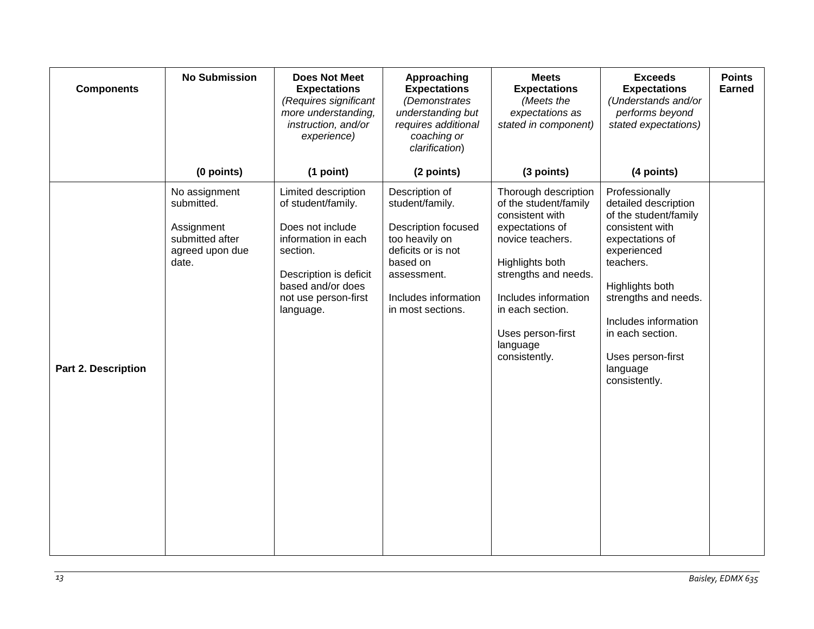| <b>Components</b>          | <b>No Submission</b>                                                                     | <b>Does Not Meet</b><br><b>Expectations</b><br>(Requires significant<br>more understanding,<br>instruction, and/or<br>experience)                                                    | Approaching<br><b>Expectations</b><br>(Demonstrates<br>understanding but<br>requires additional<br>coaching or<br>clarification)                                                | <b>Meets</b><br><b>Expectations</b><br>(Meets the<br>expectations as<br>stated in component)                                                                                                                                                     | <b>Exceeds</b><br><b>Expectations</b><br>(Understands and/or<br>performs beyond<br>stated expectations)                                                                                                                                                                    | <b>Points</b><br><b>Earned</b> |
|----------------------------|------------------------------------------------------------------------------------------|--------------------------------------------------------------------------------------------------------------------------------------------------------------------------------------|---------------------------------------------------------------------------------------------------------------------------------------------------------------------------------|--------------------------------------------------------------------------------------------------------------------------------------------------------------------------------------------------------------------------------------------------|----------------------------------------------------------------------------------------------------------------------------------------------------------------------------------------------------------------------------------------------------------------------------|--------------------------------|
|                            | (0 points)                                                                               | (1 point)                                                                                                                                                                            | (2 points)                                                                                                                                                                      | (3 points)                                                                                                                                                                                                                                       | (4 points)                                                                                                                                                                                                                                                                 |                                |
| <b>Part 2. Description</b> | No assignment<br>submitted.<br>Assignment<br>submitted after<br>agreed upon due<br>date. | Limited description<br>of student/family.<br>Does not include<br>information in each<br>section.<br>Description is deficit<br>based and/or does<br>not use person-first<br>language. | Description of<br>student/family.<br><b>Description focused</b><br>too heavily on<br>deficits or is not<br>based on<br>assessment.<br>Includes information<br>in most sections. | Thorough description<br>of the student/family<br>consistent with<br>expectations of<br>novice teachers.<br>Highlights both<br>strengths and needs.<br>Includes information<br>in each section.<br>Uses person-first<br>language<br>consistently. | Professionally<br>detailed description<br>of the student/family<br>consistent with<br>expectations of<br>experienced<br>teachers.<br>Highlights both<br>strengths and needs.<br>Includes information<br>in each section.<br>Uses person-first<br>language<br>consistently. |                                |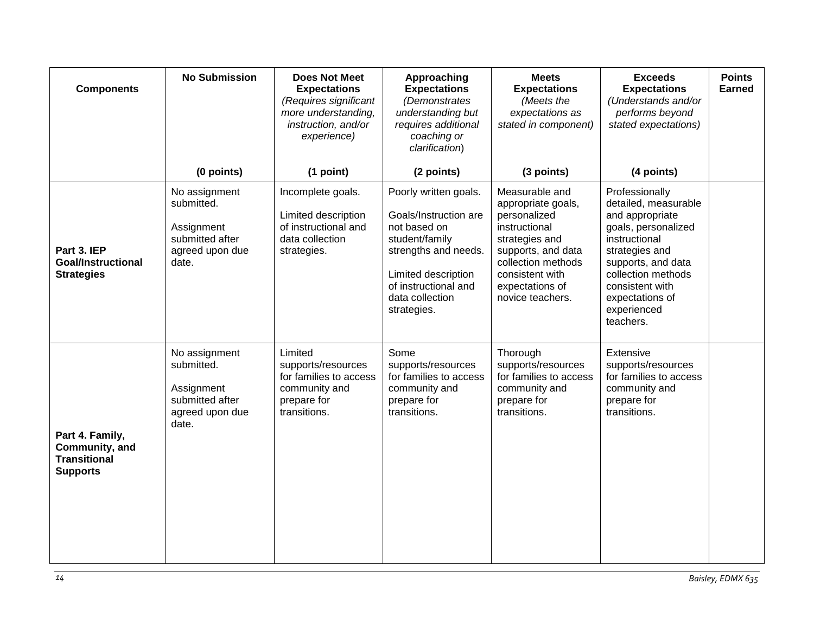| <b>Components</b>                                                           | <b>No Submission</b>                                                                     | <b>Does Not Meet</b><br><b>Expectations</b><br>(Requires significant<br>more understanding,<br>instruction, and/or<br>experience) | Approaching<br><b>Expectations</b><br>(Demonstrates<br>understanding but<br>requires additional<br>coaching or<br>clarification)                                                          | <b>Meets</b><br><b>Expectations</b><br>(Meets the<br>expectations as<br>stated in component)                                                                                                  | <b>Exceeds</b><br><b>Expectations</b><br>(Understands and/or<br>performs beyond<br>stated expectations)                                                                                                                           | <b>Points</b><br><b>Earned</b> |
|-----------------------------------------------------------------------------|------------------------------------------------------------------------------------------|-----------------------------------------------------------------------------------------------------------------------------------|-------------------------------------------------------------------------------------------------------------------------------------------------------------------------------------------|-----------------------------------------------------------------------------------------------------------------------------------------------------------------------------------------------|-----------------------------------------------------------------------------------------------------------------------------------------------------------------------------------------------------------------------------------|--------------------------------|
|                                                                             | (0 points)                                                                               | (1 point)                                                                                                                         | (2 points)                                                                                                                                                                                | (3 points)                                                                                                                                                                                    | (4 points)                                                                                                                                                                                                                        |                                |
| Part 3. IEP<br><b>Goal/Instructional</b><br><b>Strategies</b>               | No assignment<br>submitted.<br>Assignment<br>submitted after<br>agreed upon due<br>date. | Incomplete goals.<br>Limited description<br>of instructional and<br>data collection<br>strategies.                                | Poorly written goals.<br>Goals/Instruction are<br>not based on<br>student/family<br>strengths and needs.<br>Limited description<br>of instructional and<br>data collection<br>strategies. | Measurable and<br>appropriate goals,<br>personalized<br>instructional<br>strategies and<br>supports, and data<br>collection methods<br>consistent with<br>expectations of<br>novice teachers. | Professionally<br>detailed, measurable<br>and appropriate<br>goals, personalized<br>instructional<br>strategies and<br>supports, and data<br>collection methods<br>consistent with<br>expectations of<br>experienced<br>teachers. |                                |
| Part 4. Family,<br>Community, and<br><b>Transitional</b><br><b>Supports</b> | No assignment<br>submitted.<br>Assignment<br>submitted after<br>agreed upon due<br>date. | Limited<br>supports/resources<br>for families to access<br>community and<br>prepare for<br>transitions.                           | Some<br>supports/resources<br>for families to access<br>community and<br>prepare for<br>transitions.                                                                                      | Thorough<br>supports/resources<br>for families to access<br>community and<br>prepare for<br>transitions.                                                                                      | Extensive<br>supports/resources<br>for families to access<br>community and<br>prepare for<br>transitions.                                                                                                                         |                                |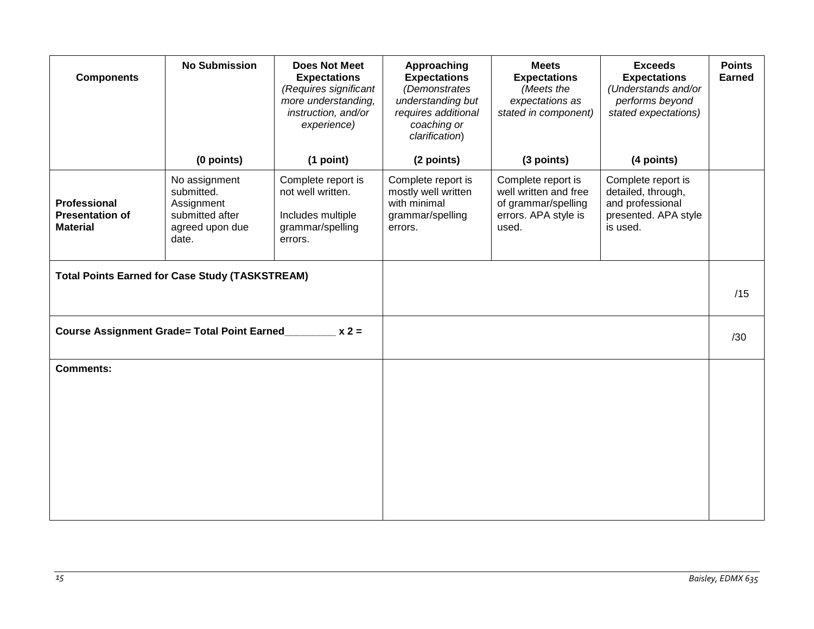| <b>Components</b>                                         | <b>No Submission</b>                                                                     | <b>Does Not Meet</b><br><b>Expectations</b><br>(Requires significant<br>more understanding,<br>instruction, and/or<br>experience) | Approaching<br><b>Expectations</b><br>(Demonstrates<br>understanding but<br>requires additional<br>coaching or<br>clarification) | <b>Meets</b><br><b>Expectations</b><br>(Meets the<br>expectations as<br>stated in component)        | <b>Exceeds</b><br><b>Expectations</b><br>(Understands and/or<br>performs beyond<br>stated expectations) | <b>Points</b><br><b>Earned</b> |
|-----------------------------------------------------------|------------------------------------------------------------------------------------------|-----------------------------------------------------------------------------------------------------------------------------------|----------------------------------------------------------------------------------------------------------------------------------|-----------------------------------------------------------------------------------------------------|---------------------------------------------------------------------------------------------------------|--------------------------------|
|                                                           | (0 points)                                                                               | (1 point)                                                                                                                         | (2 points)                                                                                                                       | (3 points)                                                                                          | (4 points)                                                                                              |                                |
| Professional<br><b>Presentation of</b><br><b>Material</b> | No assignment<br>submitted.<br>Assignment<br>submitted after<br>agreed upon due<br>date. | Complete report is<br>not well written.<br>Includes multiple<br>grammar/spelling<br>errors.                                       | Complete report is<br>mostly well written<br>with minimal<br>grammar/spelling<br>errors.                                         | Complete report is<br>well written and free<br>of grammar/spelling<br>errors. APA style is<br>used. | Complete report is<br>detailed, through,<br>and professional<br>presented. APA style<br>is used.        |                                |
| <b>Total Points Earned for Case Study (TASKSTREAM)</b>    |                                                                                          |                                                                                                                                   |                                                                                                                                  |                                                                                                     |                                                                                                         |                                |
|                                                           |                                                                                          |                                                                                                                                   |                                                                                                                                  |                                                                                                     |                                                                                                         | /15                            |
| Course Assignment Grade= Total Point Earned_<br>$x 2 =$   |                                                                                          |                                                                                                                                   |                                                                                                                                  |                                                                                                     |                                                                                                         | /30                            |
| <b>Comments:</b>                                          |                                                                                          |                                                                                                                                   |                                                                                                                                  |                                                                                                     |                                                                                                         |                                |
|                                                           |                                                                                          |                                                                                                                                   |                                                                                                                                  |                                                                                                     |                                                                                                         |                                |
|                                                           |                                                                                          |                                                                                                                                   |                                                                                                                                  |                                                                                                     |                                                                                                         |                                |
|                                                           |                                                                                          |                                                                                                                                   |                                                                                                                                  |                                                                                                     |                                                                                                         |                                |
|                                                           |                                                                                          |                                                                                                                                   |                                                                                                                                  |                                                                                                     |                                                                                                         |                                |
|                                                           |                                                                                          |                                                                                                                                   |                                                                                                                                  |                                                                                                     |                                                                                                         |                                |
|                                                           |                                                                                          |                                                                                                                                   |                                                                                                                                  |                                                                                                     |                                                                                                         |                                |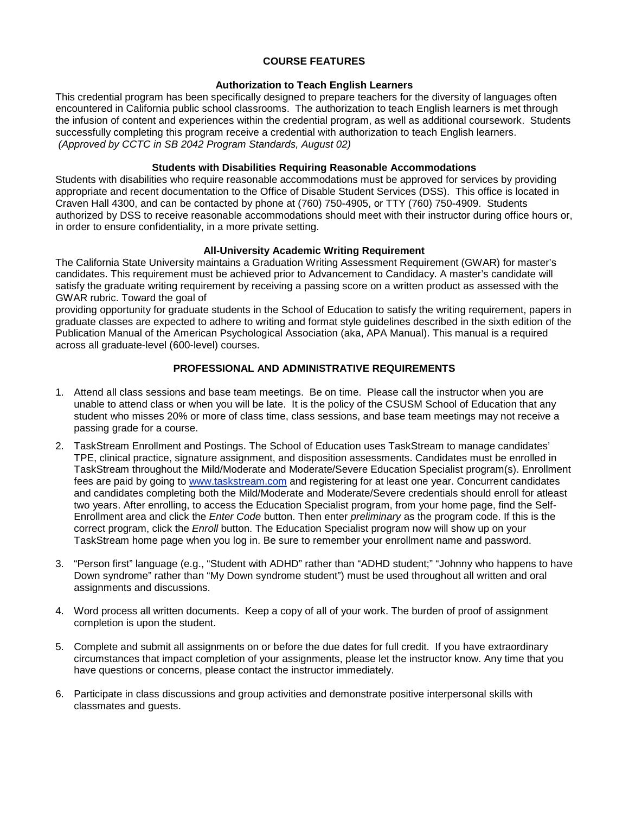# **COURSE FEATURES**

# **Authorization to Teach English Learners**

<span id="page-15-1"></span><span id="page-15-0"></span>This credential program has been specifically designed to prepare teachers for the diversity of languages often encountered in California public school classrooms. The authorization to teach English learners is met through the infusion of content and experiences within the credential program, as well as additional coursework. Students successfully completing this program receive a credential with authorization to teach English learners. *(Approved by CCTC in SB 2042 Program Standards, August 02)*

# **Students with Disabilities Requiring Reasonable Accommodations**

<span id="page-15-2"></span>Students with disabilities who require reasonable accommodations must be approved for services by providing appropriate and recent documentation to the Office of Disable Student Services (DSS). This office is located in Craven Hall 4300, and can be contacted by phone at (760) 750-4905, or TTY (760) 750-4909. Students authorized by DSS to receive reasonable accommodations should meet with their instructor during office hours or, in order to ensure confidentiality, in a more private setting.

# **All-University Academic Writing Requirement**

<span id="page-15-3"></span>The California State University maintains a Graduation Writing Assessment Requirement (GWAR) for master's candidates. This requirement must be achieved prior to Advancement to Candidacy. A master's candidate will satisfy the graduate writing requirement by receiving a passing score on a written product as assessed with the GWAR rubric. Toward the goal of

providing opportunity for graduate students in the School of Education to satisfy the writing requirement, papers in graduate classes are expected to adhere to writing and format style guidelines described in the sixth edition of the Publication Manual of the American Psychological Association (aka, APA Manual). This manual is a required across all graduate-level (600-level) courses.

# **PROFESSIONAL AND ADMINISTRATIVE REQUIREMENTS**

- <span id="page-15-4"></span>1. Attend all class sessions and base team meetings. Be on time. Please call the instructor when you are unable to attend class or when you will be late. It is the policy of the CSUSM School of Education that any student who misses 20% or more of class time, class sessions, and base team meetings may not receive a passing grade for a course.
- 2. TaskStream Enrollment and Postings. The School of Education uses TaskStream to manage candidates' TPE, clinical practice, signature assignment, and disposition assessments. Candidates must be enrolled in TaskStream throughout the Mild/Moderate and Moderate/Severe Education Specialist program(s). Enrollment fees are paid by going to [www.taskstream.com](http://www.taskstrem.com/) and registering for at least one year. Concurrent candidates and candidates completing both the Mild/Moderate and Moderate/Severe credentials should enroll for atleast two years. After enrolling, to access the Education Specialist program, from your home page, find the Self-Enrollment area and click the *Enter Code* button. Then enter *preliminary* as the program code. If this is the correct program, click the *Enroll* button. The Education Specialist program now will show up on your TaskStream home page when you log in. Be sure to remember your enrollment name and password.
- 3. "Person first" language (e.g., "Student with ADHD" rather than "ADHD student;" "Johnny who happens to have Down syndrome" rather than "My Down syndrome student") must be used throughout all written and oral assignments and discussions.
- 4. Word process all written documents. Keep a copy of all of your work. The burden of proof of assignment completion is upon the student.
- 5. Complete and submit all assignments on or before the due dates for full credit. If you have extraordinary circumstances that impact completion of your assignments, please let the instructor know. Any time that you have questions or concerns, please contact the instructor immediately.
- 6. Participate in class discussions and group activities and demonstrate positive interpersonal skills with classmates and guests.